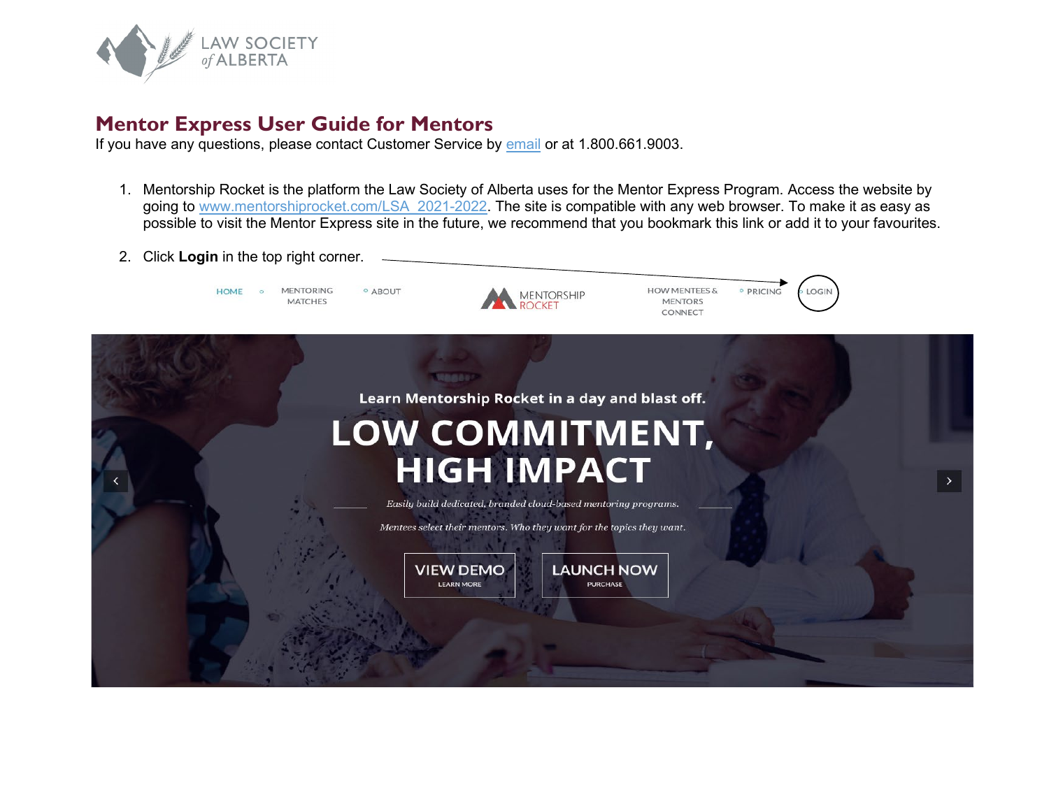

## **Mentor Express User Guide for Mentors**

If you have any questions, please contact Customer Service by [email](https://www.lawsociety.ab.ca/about-us/contact-us/?fm=15416) or at 1.800.661.9003.

- 1. Mentorship Rocket is the platform the Law Society of Alberta uses for the Mentor Express Program. Access the website by going to [www.mentorshiprocket.com/LSA\\_2021-2022.](http://www.mentorshiprocket.com/LSA_2021-2022) The site is compatible with any web browser. To make it as easy as possible to visit the Mentor Express site in the future, we recommend that you bookmark this link or add it to your favourites.
- 2. Click **Login** in the top right corner.

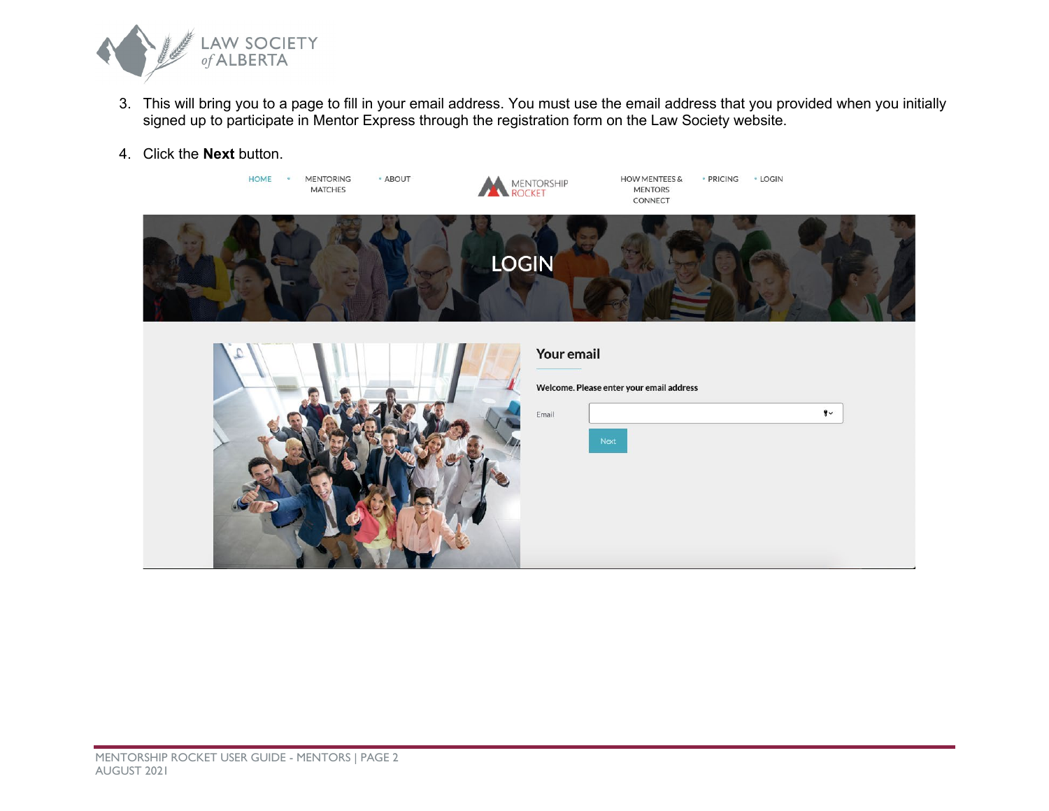

- 3. This will bring you to a page to fill in your email address. You must use the email address that you provided when you initially signed up to participate in Mentor Express through the registration form on the Law Society website.
- 4. Click the **Next** button.

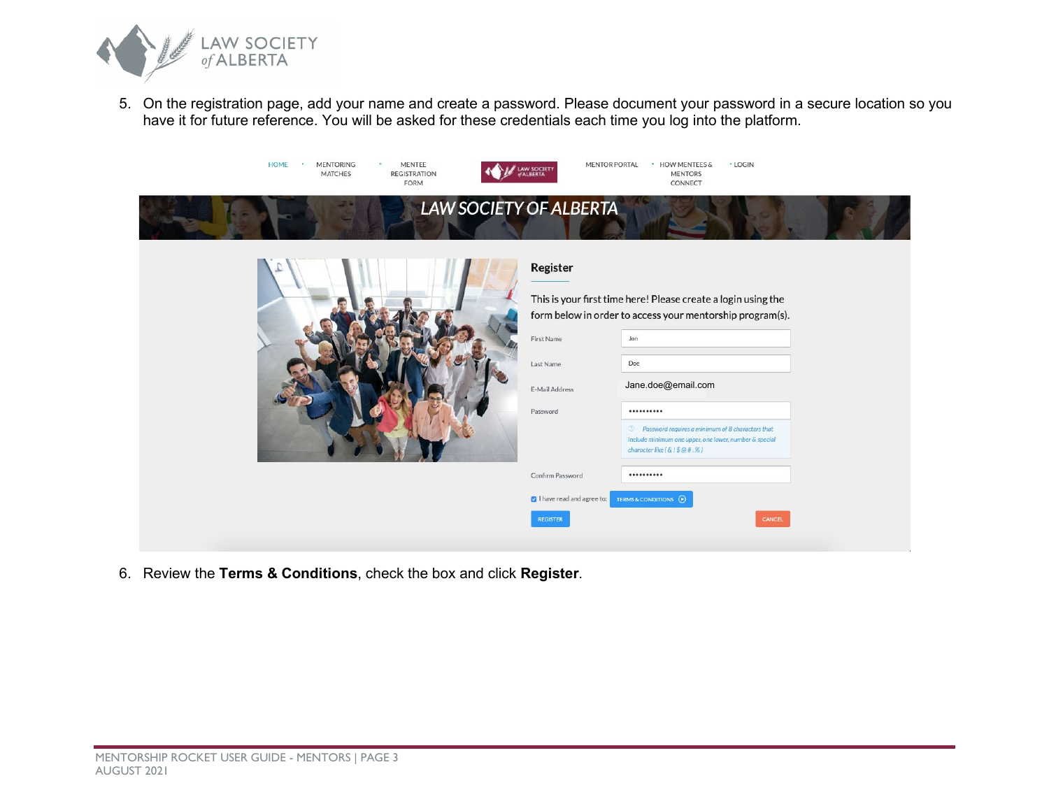

5. On the registration page, add your name and create a password. Please document your password in a secure location so you have it for future reference. You will be asked for these credentials each time you log into the platform.

| <b>HOME</b><br>MENTEE<br><b>MENTORING</b><br>20<br><b>REGISTRATION</b><br><b>MATCHES</b><br><b>FORM</b> | <b>AW SOCIETY</b><br><b>ALBERTA</b> | <b>MENTOR PORTAL</b><br>· HOW MENTEES &<br>· LOGIN<br><b>MENTORS</b><br>CONNECT                                                                        |  |
|---------------------------------------------------------------------------------------------------------|-------------------------------------|--------------------------------------------------------------------------------------------------------------------------------------------------------|--|
|                                                                                                         | <b>LAW SOCIETY OF ALBERTA</b>       |                                                                                                                                                        |  |
|                                                                                                         | Register                            |                                                                                                                                                        |  |
|                                                                                                         |                                     | This is your first time here! Please create a login using the<br>form below in order to access your mentorship program(s).                             |  |
|                                                                                                         | First Name                          | Jon                                                                                                                                                    |  |
|                                                                                                         | Last Name                           | Doe                                                                                                                                                    |  |
|                                                                                                         | E-Mail Address                      | Jane.doe@email.com                                                                                                                                     |  |
|                                                                                                         | Password                            |                                                                                                                                                        |  |
|                                                                                                         |                                     | <sup>3</sup> Password requires a minimum of 8 characters that<br>include minimum one upper, one lower, number & special<br>character like $(S.1$@#.%)$ |  |
|                                                                                                         | Confirm Password                    | **********                                                                                                                                             |  |
|                                                                                                         | I have read and agree to:           | TERMS & CONDITIONS (D)                                                                                                                                 |  |
|                                                                                                         | <b>REGISTER</b>                     | CANCEL                                                                                                                                                 |  |
|                                                                                                         |                                     |                                                                                                                                                        |  |

6. Review the **Terms & Conditions**, check the box and click **Register**.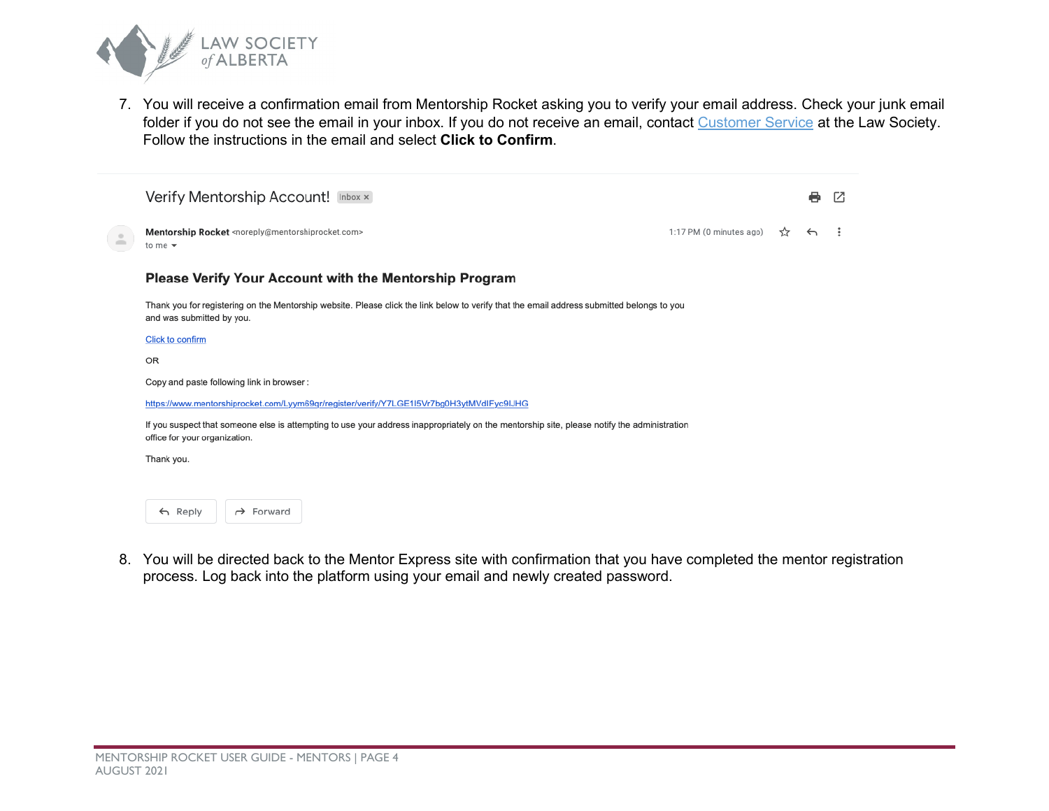

7. You will receive a confirmation email from Mentorship Rocket asking you to verify your email address. Check your junk email folder if you do not see the email in your inbox. If you do not receive an email, contact [Customer Service](https://www.lawsociety.ab.ca/about-us/contact-us/?fm=15416) at the Law Society. Follow the instructions in the email and select **Click to Confirm**.

|                                  | Verify Mentorship Account! Inbox x                                                                                                                                           |                         |   | e                        | г4 |  |
|----------------------------------|------------------------------------------------------------------------------------------------------------------------------------------------------------------------------|-------------------------|---|--------------------------|----|--|
| $\qquad \qquad \Box$<br>$\equiv$ | Mentorship Rocket <noreply@mentorshiprocket.com><br/>to me <math>\sim</math></noreply@mentorshiprocket.com>                                                                  | 1:17 PM (0 minutes ago) | ☆ | $\overline{\phantom{0}}$ |    |  |
|                                  | Please Verify Your Account with the Mentorship Program                                                                                                                       |                         |   |                          |    |  |
|                                  | Thank you for registering on the Mentorship website. Please click the link below to verify that the email address submitted belongs to you<br>and was submitted by you.      |                         |   |                          |    |  |
|                                  | Click to confirm                                                                                                                                                             |                         |   |                          |    |  |
|                                  | OR                                                                                                                                                                           |                         |   |                          |    |  |
|                                  | Copy and paste following link in browser:                                                                                                                                    |                         |   |                          |    |  |
|                                  | https://www.mentorshiprocket.com/Lyym69qr/register/verify/Y7LGE1I5Vr7bg0H3ytMVdIFyc9IJHG                                                                                     |                         |   |                          |    |  |
|                                  | If you suspect that someone else is attempting to use your address inappropriately on the mentorship site, please notify the administration<br>office for your organization. |                         |   |                          |    |  |
|                                  | Thank you.                                                                                                                                                                   |                         |   |                          |    |  |
|                                  |                                                                                                                                                                              |                         |   |                          |    |  |
|                                  | $\leftarrow$ Reply<br>$\rightarrow$ Forward                                                                                                                                  |                         |   |                          |    |  |

8. You will be directed back to the Mentor Express site with confirmation that you have completed the mentor registration process. Log back into the platform using your email and newly created password.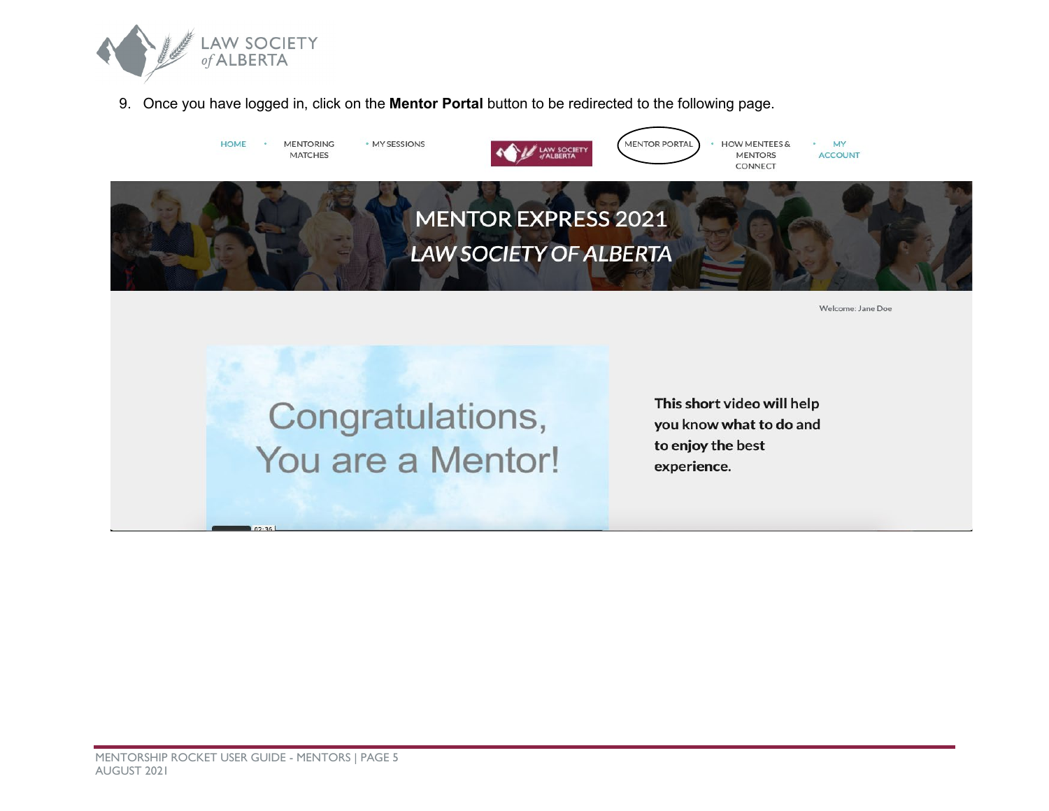

9. Once you have logged in, click on the **Mentor Portal** button to be redirected to the following page.

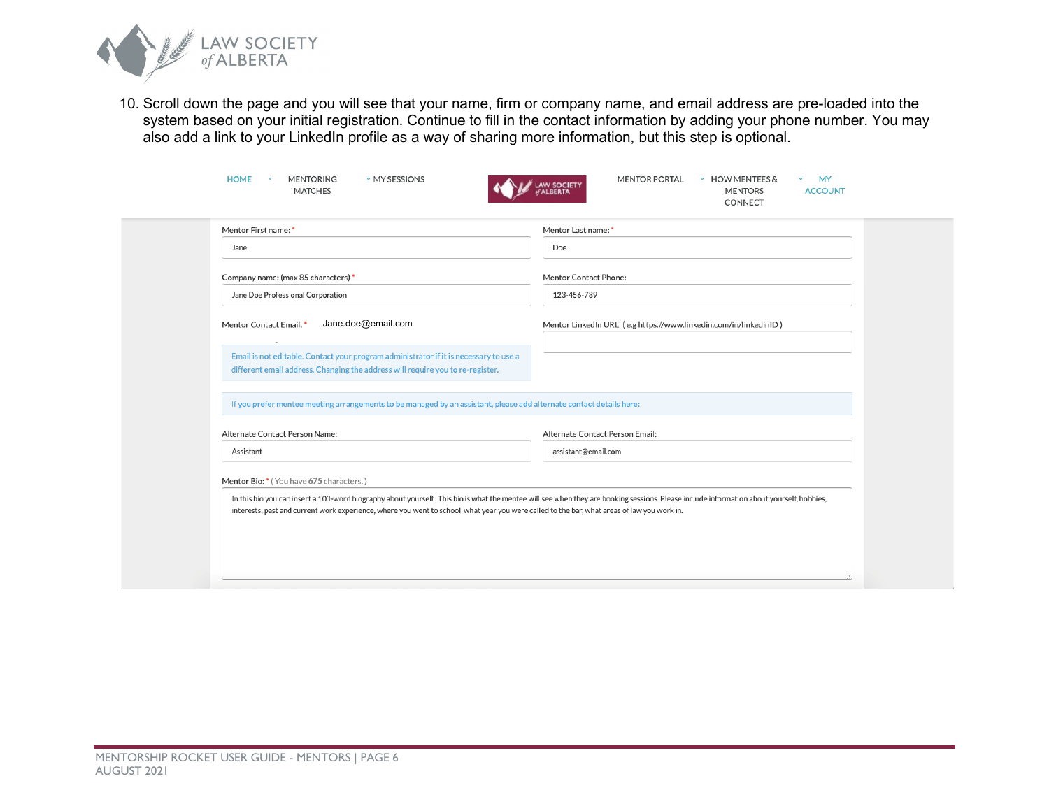

10. Scroll down the page and you will see that your name, firm or company name, and email address are pre-loaded into the system based on your initial registration. Continue to fill in the contact information by adding your phone number. You may also add a link to your LinkedIn profile as a way of sharing more information, but this step is optional.

| Mentor First name: *                                                                                                                                                    | Mentor Last name: *                                               |
|-------------------------------------------------------------------------------------------------------------------------------------------------------------------------|-------------------------------------------------------------------|
| Jane                                                                                                                                                                    | Doe                                                               |
| Company name: (max 85 characters) *                                                                                                                                     | Mentor Contact Phone:                                             |
| Jane Doe Professional Corporation                                                                                                                                       | 123-456-789                                                       |
| Mentor Contact Email: *<br>Jane.doe@email.com                                                                                                                           | Mentor LinkedIn URL: (e.g https://www.linkedin.com/in/linkedinID) |
| Email is not editable. Contact your program administrator if it is necessary to use a<br>different email address. Changing the address will require you to re-register. |                                                                   |
| If you prefer mentee meeting arrangements to be managed by an assistant, please add alternate contact details here:                                                     |                                                                   |
|                                                                                                                                                                         | Alternate Contact Person Email:                                   |
| Alternate Contact Person Name:                                                                                                                                          |                                                                   |
| Assistant                                                                                                                                                               | assistant@email.com                                               |
| Mentor Bio: * (You have 675 characters.)                                                                                                                                |                                                                   |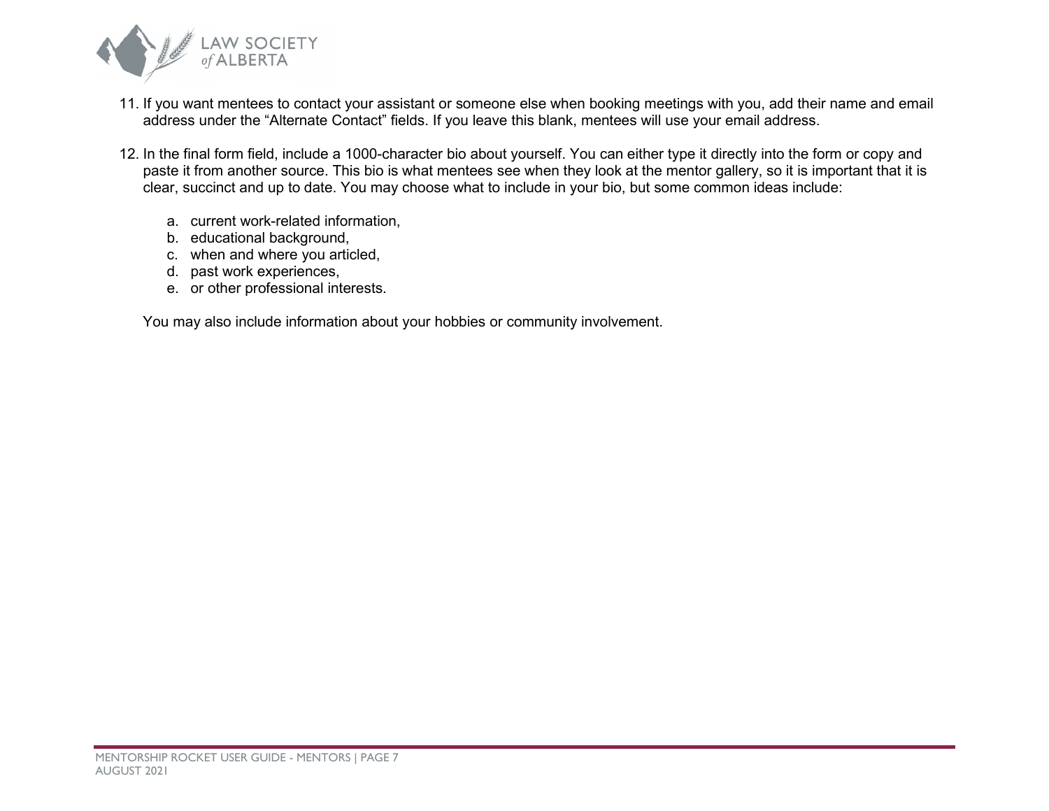

- 11. If you want mentees to contact your assistant or someone else when booking meetings with you, add their name and email address under the "Alternate Contact" fields. If you leave this blank, mentees will use your email address.
- 12. In the final form field, include a 1000-character bio about yourself. You can either type it directly into the form or copy and paste it from another source. This bio is what mentees see when they look at the mentor gallery, so it is important that it is clear, succinct and up to date. You may choose what to include in your bio, but some common ideas include:
	- a. current work-related information,
	- b. educational background,
	- c. when and where you articled,
	- d. past work experiences,
	- e. or other professional interests.

You may also include information about your hobbies or community involvement.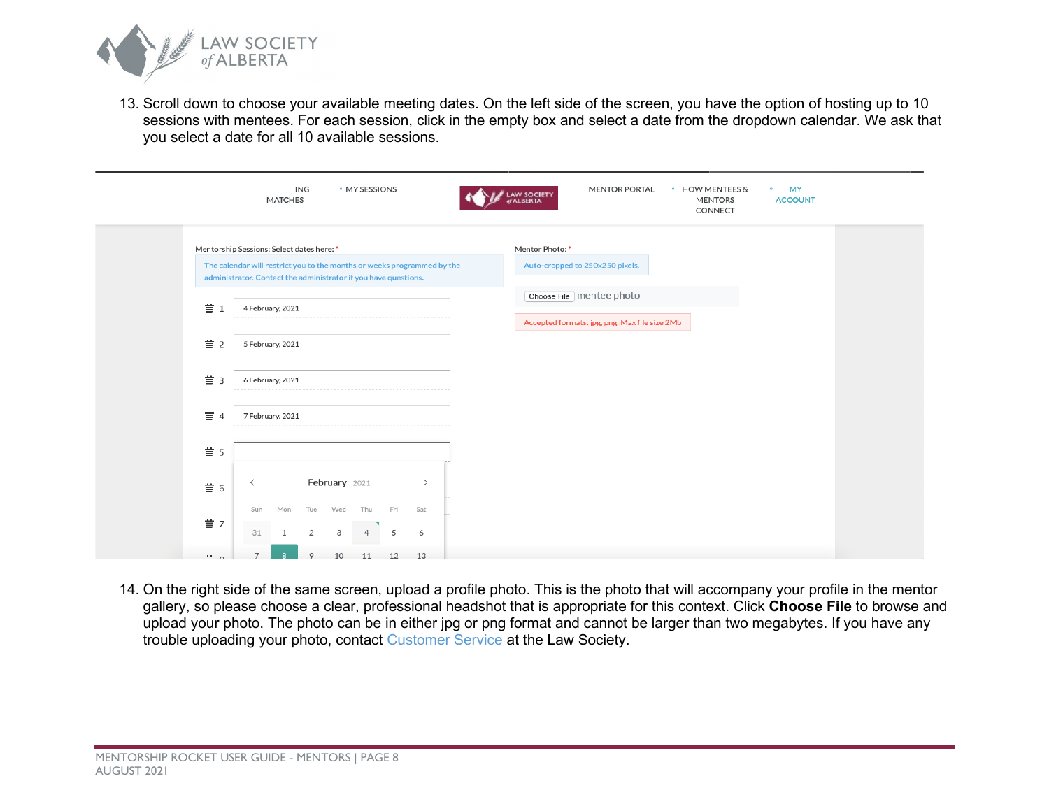

13. Scroll down to choose your available meeting dates. On the left side of the screen, you have the option of hosting up to 10 sessions with mentees. For each session, click in the empty box and select a date from the dropdown calendar. We ask that you select a date for all 10 available sessions.

|                          | ING<br>• MY SESSIONS<br><b>MATCHES</b>                                                                                                                                                  | <b>MENTOR PORTAL</b><br>• HOW MENTEES &<br><b>MY</b><br>$\bullet$<br><b>LAW SOCIETY</b><br>of ALBERTA<br><b>MENTORS</b><br><b>ACCOUNT</b><br>CONNECT |
|--------------------------|-----------------------------------------------------------------------------------------------------------------------------------------------------------------------------------------|------------------------------------------------------------------------------------------------------------------------------------------------------|
|                          | Mentorship Sessions: Select dates here: *<br>The calendar will restrict you to the months or weeks programmed by the<br>administrator. Contact the administrator if you have questions. | Mentor Photo: *<br>Auto-cropped to 250x250 pixels.                                                                                                   |
| $\equiv$ 1               | 4 February, 2021                                                                                                                                                                        | Choose File   mentee photo<br>Accepted formats: jpg, png, Max file size 2Mb                                                                          |
| $\equiv$ 2               | 5 February, 2021                                                                                                                                                                        |                                                                                                                                                      |
| $\equiv$ 3               | 6 February, 2021                                                                                                                                                                        |                                                                                                                                                      |
| $\equiv$ 4               | 7 February, 2021                                                                                                                                                                        |                                                                                                                                                      |
| $\equiv$ 5               | February 2021<br>≺<br>$\rightarrow$                                                                                                                                                     |                                                                                                                                                      |
| $\equiv$ 6<br>$\equiv$ 7 | Mon<br>Tue<br>Wed<br>Thu<br>Fri<br>Sat<br>Sun                                                                                                                                           |                                                                                                                                                      |
| $\equiv$ $\circ$         | 5<br>6<br>31<br>$\overline{2}$<br>3<br>10<br>12<br>13<br>11                                                                                                                             |                                                                                                                                                      |

14. On the right side of the same screen, upload a profile photo. This is the photo that will accompany your profile in the mentor gallery, so please choose a clear, professional headshot that is appropriate for this context. Click **Choose File** to browse and upload your photo. The photo can be in either jpg or png format and cannot be larger than two megabytes. If you have any trouble uploading your photo, contact [Customer Service](https://www.lawsociety.ab.ca/about-us/contact-us/?fm=15416) at the Law Society.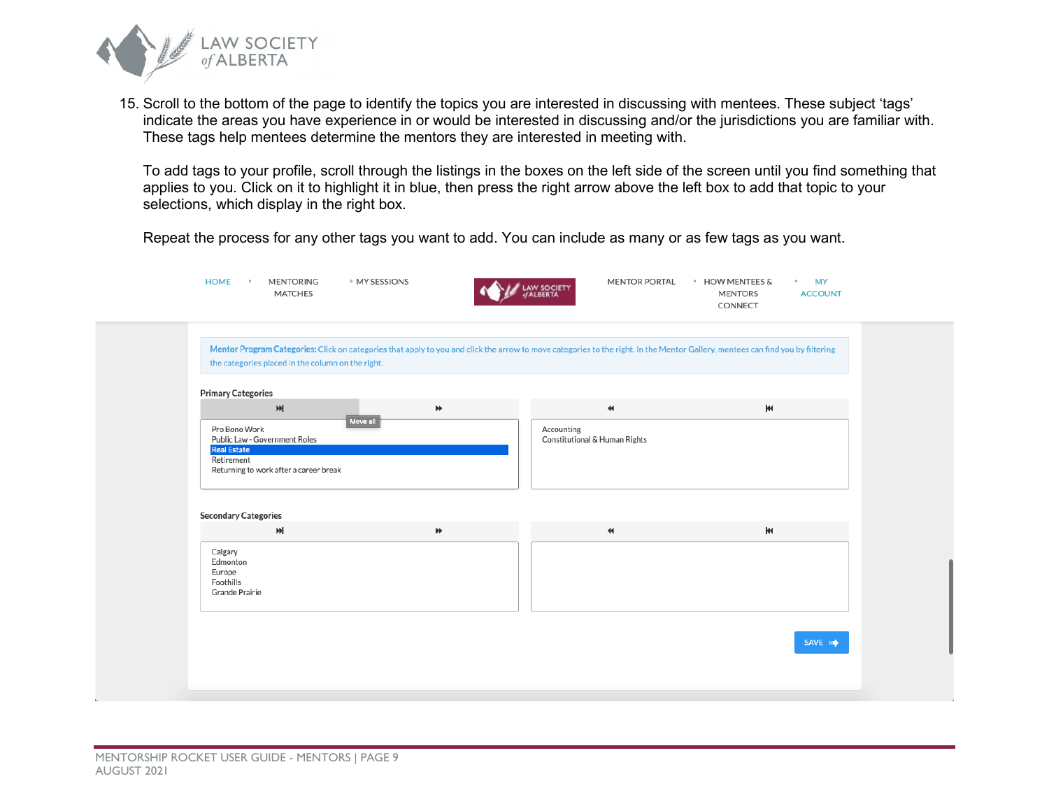

15. Scroll to the bottom of the page to identify the topics you are interested in discussing with mentees. These subject 'tags' indicate the areas you have experience in or would be interested in discussing and/or the jurisdictions you are familiar with. These tags help mentees determine the mentors they are interested in meeting with.

To add tags to your profile, scroll through the listings in the boxes on the left side of the screen until you find something that applies to you. Click on it to highlight it in blue, then press the right arrow above the left box to add that topic to your selections, which display in the right box.

Repeat the process for any other tags you want to add. You can include as many or as few tags as you want.

| <b>HOME</b><br><b>MENTORING</b><br>$\bullet$<br><b>MATCHES</b>                                                                                                 | · MY SESSIONS | <b>MENTOR PORTAL</b><br><b>LAW SOCIETY</b><br>of ALBERTA                                                                                                                       | • HOW MENTEES &<br><b>MY</b><br>$\bullet$<br><b>ACCOUNT</b><br><b>MENTORS</b><br>CONNECT |  |
|----------------------------------------------------------------------------------------------------------------------------------------------------------------|---------------|--------------------------------------------------------------------------------------------------------------------------------------------------------------------------------|------------------------------------------------------------------------------------------|--|
| the categories placed in the column on the right.                                                                                                              |               | Mentor Program Categories: Click on categories that apply to you and click the arrow to move categories to the right. In the Mentor Gallery, mentees can find you by filtering |                                                                                          |  |
| <b>Primary Categories</b><br>M<br>Pro Bono Work<br>Public Law - Government Roles<br><b>Real Estate</b><br>Retirement<br>Returning to work after a career break | ₩<br>Move all | $\blacktriangleleft$<br>Accounting<br>Constitutional & Human Rights                                                                                                            | Ŧ                                                                                        |  |
| <b>Secondary Categories</b><br>$\blacktriangleright$<br>Calgary<br>Edmonton<br>Europe<br>Foothills<br>Grande Prairie                                           | ₩             | $\blacktriangleleft$                                                                                                                                                           | $\blacktriangleright$                                                                    |  |
|                                                                                                                                                                |               |                                                                                                                                                                                | SAVE <b>III</b>                                                                          |  |